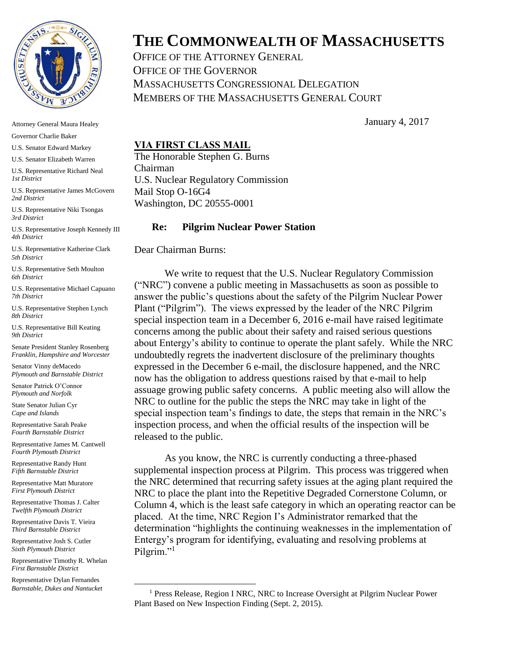

Attorney General Maura Healey

Governor Charlie Baker

U.S. Senator Edward Markey

U.S. Senator Elizabeth Warren

U.S. Representative Richard Neal *1st District* 

U.S. Representative James McGovern *2nd District* 

U.S. Representative Niki Tsongas *3rd District*

U.S. Representative Joseph Kennedy III *4th District*

U.S. Representative Katherine Clark *5th District*

U.S. Representative Seth Moulton *6th District*

U.S. Representative Michael Capuano *7th District*

U.S. Representative Stephen Lynch *8th District*

U.S. Representative Bill Keating *9th District*

Senate President Stanley Rosenberg *Franklin, Hampshire and Worcester*

Senator Vinny deMacedo *Plymouth and Barnstable District*

Senator Patrick O'Connor *Plymouth and Norfolk*

State Senator Julian Cyr *Cape and Islands*

Representative Sarah Peake *Fourth Barnstable District*

Representative James M. Cantwell *Fourth Plymouth District* 

Representative Randy Hunt *Fifth Barnstable District*

Representative Matt Muratore *First Plymouth District*

Representative Thomas J. Calter *Twelfth Plymouth District* 

Representative Davis T. Vieira *Third Barnstable District* 

Representative Josh S. Cutler *Sixth Plymouth District* 

Representative Timothy R. Whelan *First Barnstable District*

Representative Dylan Fernandes *Barnstable, Dukes and Nantucket*

 $\overline{a}$ 

## **THE COMMONWEALTH OF MASSACHUSETTS**

OFFICE OF THE ATTORNEY GENERAL OFFICE OF THE GOVERNOR MASSACHUSETTS CONGRESSIONAL DELEGATION MEMBERS OF THE MASSACHUSETTS GENERAL COURT

January 4, 2017

## **VIA FIRST CLASS MAIL**

The Honorable Stephen G. Burns Chairman U.S. Nuclear Regulatory Commission Mail Stop O-16G4 Washington, DC 20555-0001

## **Re: Pilgrim Nuclear Power Station**

Dear Chairman Burns:

We write to request that the U.S. Nuclear Regulatory Commission ("NRC") convene a public meeting in Massachusetts as soon as possible to answer the public's questions about the safety of the Pilgrim Nuclear Power Plant ("Pilgrim"). The views expressed by the leader of the NRC Pilgrim special inspection team in a December 6, 2016 e-mail have raised legitimate concerns among the public about their safety and raised serious questions about Entergy's ability to continue to operate the plant safely. While the NRC undoubtedly regrets the inadvertent disclosure of the preliminary thoughts expressed in the December 6 e-mail, the disclosure happened, and the NRC now has the obligation to address questions raised by that e-mail to help assuage growing public safety concerns. A public meeting also will allow the NRC to outline for the public the steps the NRC may take in light of the special inspection team's findings to date, the steps that remain in the NRC's inspection process, and when the official results of the inspection will be released to the public.

As you know, the NRC is currently conducting a three-phased supplemental inspection process at Pilgrim. This process was triggered when the NRC determined that recurring safety issues at the aging plant required the NRC to place the plant into the Repetitive Degraded Cornerstone Column, or Column 4, which is the least safe category in which an operating reactor can be placed. At the time, NRC Region I's Administrator remarked that the determination "highlights the continuing weaknesses in the implementation of Entergy's program for identifying, evaluating and resolving problems at Pilgrim."<sup>1</sup>

<sup>&</sup>lt;sup>1</sup> Press Release, Region I NRC, NRC to Increase Oversight at Pilgrim Nuclear Power Plant Based on New Inspection Finding (Sept. 2, 2015).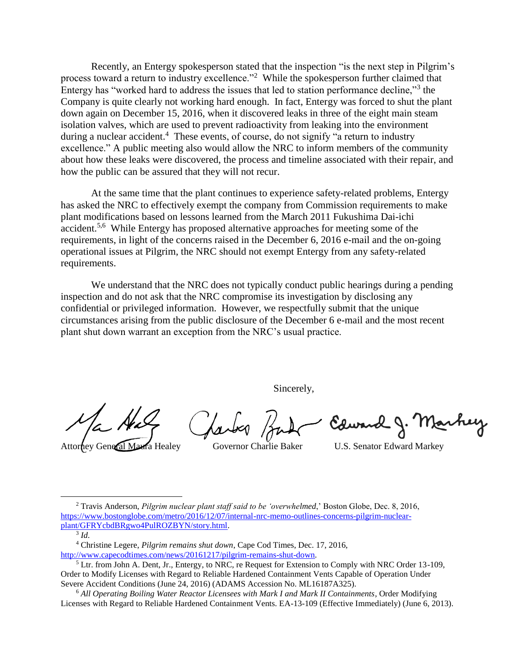Recently, an Entergy spokesperson stated that the inspection "is the next step in Pilgrim's process toward a return to industry excellence.<sup>"2</sup> While the spokesperson further claimed that Entergy has "worked hard to address the issues that led to station performance decline,"<sup>3</sup> the Company is quite clearly not working hard enough. In fact, Entergy was forced to shut the plant down again on December 15, 2016, when it discovered leaks in three of the eight main steam isolation valves, which are used to prevent radioactivity from leaking into the environment during a nuclear accident.<sup>4</sup> These events, of course, do not signify "a return to industry excellence." A public meeting also would allow the NRC to inform members of the community about how these leaks were discovered, the process and timeline associated with their repair, and how the public can be assured that they will not recur.

At the same time that the plant continues to experience safety-related problems, Entergy has asked the NRC to effectively exempt the company from Commission requirements to make plant modifications based on lessons learned from the March 2011 Fukushima Dai-ichi accident.<sup>5,6</sup> While Entergy has proposed alternative approaches for meeting some of the requirements, in light of the concerns raised in the December 6, 2016 e-mail and the on-going operational issues at Pilgrim, the NRC should not exempt Entergy from any safety-related requirements.

We understand that the NRC does not typically conduct public hearings during a pending inspection and do not ask that the NRC compromise its investigation by disclosing any confidential or privileged information. However, we respectfully submit that the unique circumstances arising from the public disclosure of the December 6 e-mail and the most recent plant shut down warrant an exception from the NRC's usual practice.

Sincerely,

Edward J. Marhey

Attorney General Maura Healey Governor Charlie Baker U.S. Senator Edward Markey

<sup>2</sup> Travis Anderson, *Pilgrim nuclear plant staff said to be 'overwhelmed*,' Boston Globe, Dec. 8, 2016, [https://www.bostonglobe.com/metro/2016/12/07/internal-nrc-memo-outlines-concerns-pilgrim-nuclear](https://www.bostonglobe.com/metro/2016/12/07/internal-nrc-memo-outlines-concerns-pilgrim-nuclear-plant/GFRYcbdBRgwo4PulROZBYN/story.html)[plant/GFRYcbdBRgwo4PulROZBYN/story.html.](https://www.bostonglobe.com/metro/2016/12/07/internal-nrc-memo-outlines-concerns-pilgrim-nuclear-plant/GFRYcbdBRgwo4PulROZBYN/story.html)

3 *Id.*

 $\overline{a}$ 

<sup>4</sup> Christine Legere, *Pilgrim remains shut down*, Cape Cod Times, Dec. 17, 2016,

[http://www.capecodtimes.com/news/20161217/pilgrim-remains-shut-down.](http://www.capecodtimes.com/news/20161217/pilgrim-remains-shut-down)

 $<sup>5</sup>$  Ltr. from John A. Dent, Jr., Entergy, to NRC, re Request for Extension to Comply with NRC Order 13-109,</sup> Order to Modify Licenses with Regard to Reliable Hardened Containment Vents Capable of Operation Under Severe Accident Conditions (June 24, 2016) (ADAMS Accession No. ML16187A325).

<sup>6</sup> *All Operating Boiling Water Reactor Licensees with Mark I and Mark II Containments*, Order Modifying Licenses with Regard to Reliable Hardened Containment Vents. EA-13-109 (Effective Immediately) (June 6, 2013).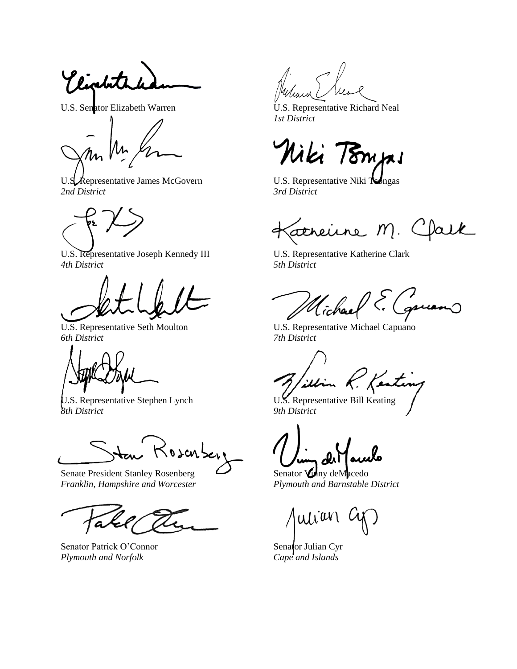Vigetate

U.S. Representative James McGovern U.S. Representative Niki Tongas *2nd District 3rd District*

U.S. Representative Joseph Kennedy III U.S. Representative Katherine Clark *4th District 5th District*

*6th District 7th District*

*8th District 9th District*

<del>J</del>an Rosenber

Senate President Stanley Rosenberg Senator **Vin**y deMacedo *Franklin, Hampshire and Worcester Plymouth and Barnstable District*

a

Senator Patrick O'Connor Senator Julian Cyr *Plymouth and Norfolk Cape and Islands*

U.S. Senator Elizabeth Warren 
U.S. Representative Richard Neal *1st District*

Niki Tompi

atherine M. Clark す

Michael

U.S. Representative Seth Moulton U.S. Representative Michael Capuano

UNCO AM illin K.

 $\int u \overline{u} \overline{u}$